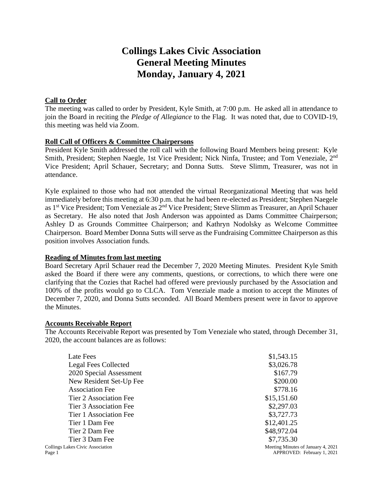# **Collings Lakes Civic Association General Meeting Minutes Monday, January 4, 2021**

## **Call to Order**

The meeting was called to order by President, Kyle Smith, at 7:00 p.m. He asked all in attendance to join the Board in reciting the *Pledge of Allegiance* to the Flag. It was noted that, due to COVID-19, this meeting was held via Zoom.

## **Roll Call of Officers & Committee Chairpersons**

President Kyle Smith addressed the roll call with the following Board Members being present: Kyle Smith, President; Stephen Naegle, 1st Vice President; Nick Ninfa, Trustee; and Tom Veneziale, 2nd Vice President; April Schauer, Secretary; and Donna Sutts. Steve Slimm, Treasurer, was not in attendance.

Kyle explained to those who had not attended the virtual Reorganizational Meeting that was held immediately before this meeting at 6:30 p.m. that he had been re-elected as President; Stephen Naegele as 1st Vice President; Tom Veneziale as 2nd Vice President; Steve Slimm as Treasurer, an April Schauer as Secretary. He also noted that Josh Anderson was appointed as Dams Committee Chairperson; Ashley D as Grounds Committee Chairperson; and Kathryn Nodolsky as Welcome Committee Chairperson. Board Member Donna Sutts will serve as the Fundraising Committee Chairperson as this position involves Association funds.

## **Reading of Minutes from last meeting**

Board Secretary April Schauer read the December 7, 2020 Meeting Minutes. President Kyle Smith asked the Board if there were any comments, questions, or corrections, to which there were one clarifying that the Cozies that Rachel had offered were previously purchased by the Association and 100% of the profits would go to CLCA. Tom Veneziale made a motion to accept the Minutes of December 7, 2020, and Donna Sutts seconded. All Board Members present were in favor to approve the Minutes.

## **Accounts Receivable Report**

The Accounts Receivable Report was presented by Tom Veneziale who stated, through December 31, 2020, the account balances are as follows:

| Late Fees                                         | \$1,543.15                                                       |
|---------------------------------------------------|------------------------------------------------------------------|
| <b>Legal Fees Collected</b>                       | \$3,026.78                                                       |
| 2020 Special Assessment                           | \$167.79                                                         |
| New Resident Set-Up Fee                           | \$200.00                                                         |
| <b>Association Fee</b>                            | \$778.16                                                         |
| Tier 2 Association Fee                            | \$15,151.60                                                      |
| Tier 3 Association Fee                            | \$2,297.03                                                       |
| Tier 1 Association Fee                            | \$3,727.73                                                       |
| Tier 1 Dam Fee                                    | \$12,401.25                                                      |
| Tier 2 Dam Fee                                    | \$48,972.04                                                      |
| Tier 3 Dam Fee                                    | \$7,735.30                                                       |
| <b>Collings Lakes Civic Association</b><br>Page 1 | Meeting Minutes of January 4, 2021<br>APPROVED: February 1, 2021 |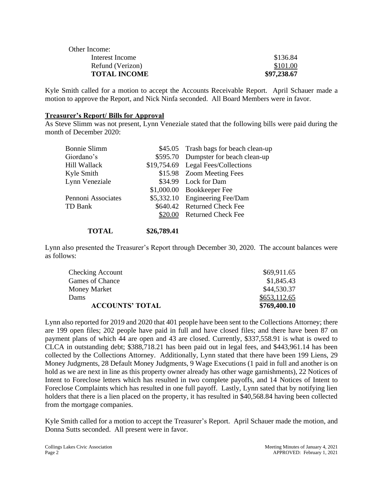| Other Income:       |             |
|---------------------|-------------|
| Interest Income     | \$136.84    |
| Refund (Verizon)    | \$101.00    |
| <b>TOTAL INCOME</b> | \$97,238.67 |

Kyle Smith called for a motion to accept the Accounts Receivable Report. April Schauer made a motion to approve the Report, and Nick Ninfa seconded. All Board Members were in favor.

#### **Treasurer's Report/ Bills for Approval**

As Steve Slimm was not present, Lynn Veneziale stated that the following bills were paid during the month of December 2020:

| <b>Bonnie Slimm</b> | \$45.05 Trash bags for beach clean-up |  |  |
|---------------------|---------------------------------------|--|--|
| Giordano's          | \$595.70 Dumpster for beach clean-up  |  |  |
| Hill Wallack        | \$19,754.69 Legal Fees/Collections    |  |  |
| Kyle Smith          | \$15.98 Zoom Meeting Fees             |  |  |
| Lynn Veneziale      | \$34.99 Lock for Dam                  |  |  |
|                     | \$1,000.00 Bookkeeper Fee             |  |  |
| Pennoni Associates  | \$5,332.10 Engineering Fee/Dam        |  |  |
| TD Bank             | \$640.42 Returned Check Fee           |  |  |
|                     | \$20.00 Returned Check Fee            |  |  |
|                     |                                       |  |  |

### **TOTAL \$26,789.41**

Lynn also presented the Treasurer's Report through December 30, 2020. The account balances were as follows:

| \$653,112.65 |
|--------------|
|              |
| \$44,530.37  |
| \$1,845.43   |
| \$69,911.65  |
|              |

Lynn also reported for 2019 and 2020 that 401 people have been sent to the Collections Attorney; there are 199 open files; 202 people have paid in full and have closed files; and there have been 87 on payment plans of which 44 are open and 43 are closed. Currently, \$337,558.91 is what is owed to CLCA in outstanding debt; \$388,718.21 has been paid out in legal fees, and \$443,961.14 has been collected by the Collections Attorney. Additionally, Lynn stated that there have been 199 Liens, 29 Money Judgments, 28 Default Money Judgments, 9 Wage Executions (1 paid in full and another is on hold as we are next in line as this property owner already has other wage garnishments), 22 Notices of Intent to Foreclose letters which has resulted in two complete payoffs, and 14 Notices of Intent to Foreclose Complaints which has resulted in one full payoff. Lastly, Lynn sated that by notifying lien holders that there is a lien placed on the property, it has resulted in \$40,568.84 having been collected from the mortgage companies.

Kyle Smith called for a motion to accept the Treasurer's Report. April Schauer made the motion, and Donna Sutts seconded. All present were in favor.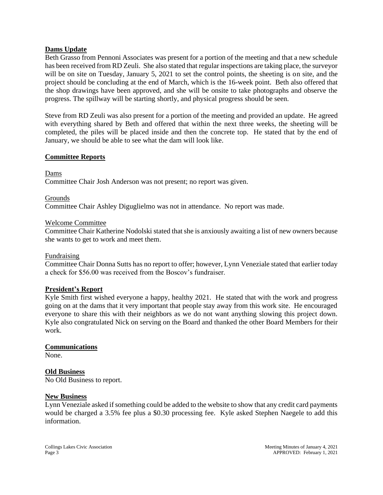## **Dams Update**

Beth Grasso from Pennoni Associates was present for a portion of the meeting and that a new schedule has been received from RD Zeuli. She also stated that regular inspections are taking place, the surveyor will be on site on Tuesday, January 5, 2021 to set the control points, the sheeting is on site, and the project should be concluding at the end of March, which is the 16-week point. Beth also offered that the shop drawings have been approved, and she will be onsite to take photographs and observe the progress. The spillway will be starting shortly, and physical progress should be seen.

Steve from RD Zeuli was also present for a portion of the meeting and provided an update. He agreed with everything shared by Beth and offered that within the next three weeks, the sheeting will be completed, the piles will be placed inside and then the concrete top. He stated that by the end of January, we should be able to see what the dam will look like.

#### **Committee Reports**

Dams

Committee Chair Josh Anderson was not present; no report was given.

Grounds

Committee Chair Ashley Diguglielmo was not in attendance. No report was made.

#### Welcome Committee

Committee Chair Katherine Nodolski stated that she is anxiously awaiting a list of new owners because she wants to get to work and meet them.

#### Fundraising

Committee Chair Donna Sutts has no report to offer; however, Lynn Veneziale stated that earlier today a check for \$56.00 was received from the Boscov's fundraiser.

#### **President's Report**

Kyle Smith first wished everyone a happy, healthy 2021. He stated that with the work and progress going on at the dams that it very important that people stay away from this work site. He encouraged everyone to share this with their neighbors as we do not want anything slowing this project down. Kyle also congratulated Nick on serving on the Board and thanked the other Board Members for their work.

#### **Communications**

None.

#### **Old Business**

No Old Business to report.

#### **New Business**

Lynn Veneziale asked if something could be added to the website to show that any credit card payments would be charged a 3.5% fee plus a \$0.30 processing fee. Kyle asked Stephen Naegele to add this information.

Collings Lakes Civic Association Meeting Minutes of January 4, 2021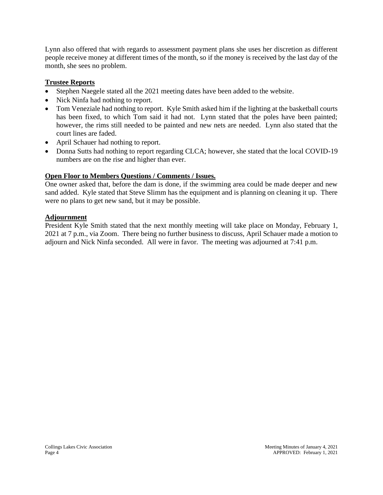Lynn also offered that with regards to assessment payment plans she uses her discretion as different people receive money at different times of the month, so if the money is received by the last day of the month, she sees no problem.

## **Trustee Reports**

- Stephen Naegele stated all the 2021 meeting dates have been added to the website.
- Nick Ninfa had nothing to report.
- Tom Veneziale had nothing to report. Kyle Smith asked him if the lighting at the basketball courts has been fixed, to which Tom said it had not. Lynn stated that the poles have been painted; however, the rims still needed to be painted and new nets are needed. Lynn also stated that the court lines are faded.
- April Schauer had nothing to report.
- Donna Sutts had nothing to report regarding CLCA; however, she stated that the local COVID-19 numbers are on the rise and higher than ever.

## **Open Floor to Members Questions / Comments / Issues.**

One owner asked that, before the dam is done, if the swimming area could be made deeper and new sand added. Kyle stated that Steve Slimm has the equipment and is planning on cleaning it up. There were no plans to get new sand, but it may be possible.

## **Adjournment**

President Kyle Smith stated that the next monthly meeting will take place on Monday, February 1, 2021 at 7 p.m., via Zoom. There being no further business to discuss, April Schauer made a motion to adjourn and Nick Ninfa seconded. All were in favor. The meeting was adjourned at 7:41 p.m.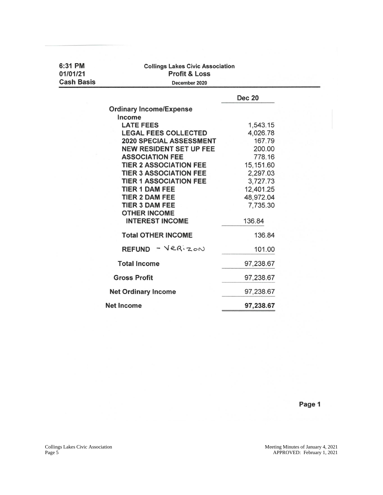| 6:31 PM<br>01/01/21<br><b>Cash Basis</b> | <b>Collings Lakes Civic Association</b><br><b>Profit &amp; Loss</b><br>December 2020 |               |  |  |  |  |
|------------------------------------------|--------------------------------------------------------------------------------------|---------------|--|--|--|--|
|                                          |                                                                                      | <b>Dec 20</b> |  |  |  |  |
|                                          | <b>Ordinary Income/Expense</b>                                                       |               |  |  |  |  |
|                                          | Income                                                                               |               |  |  |  |  |
|                                          | <b>LATE FEES</b>                                                                     | 1,543.15      |  |  |  |  |
|                                          | <b>LEGAL FEES COLLECTED</b>                                                          | 4,026.78      |  |  |  |  |
|                                          | <b>2020 SPECIAL ASSESSMENT</b>                                                       | 167.79        |  |  |  |  |
|                                          | <b>NEW RESIDENT SET UP FEE</b>                                                       | 200.00        |  |  |  |  |
|                                          | <b>ASSOCIATION FEE</b>                                                               | 778.16        |  |  |  |  |
|                                          | <b>TIER 2 ASSOCIATION FEE</b>                                                        | 15,151.60     |  |  |  |  |
|                                          | <b>TIER 3 ASSOCIATION FEE</b>                                                        | 2,297.03      |  |  |  |  |
|                                          | <b>TIER 1 ASSOCIATION FEE</b>                                                        | 3,727.73      |  |  |  |  |
|                                          | <b>TIER 1 DAM FEE</b>                                                                | 12,401.25     |  |  |  |  |
|                                          | <b>TIER 2 DAM FEE</b>                                                                | 48,972.04     |  |  |  |  |
|                                          | <b>TIER 3 DAM FEE</b>                                                                | 7,735.30      |  |  |  |  |
|                                          | <b>OTHER INCOME</b>                                                                  |               |  |  |  |  |
|                                          | <b>INTEREST INCOME</b>                                                               | 136.84        |  |  |  |  |
|                                          | <b>Total OTHER INCOME</b>                                                            | 136.84        |  |  |  |  |
|                                          | $REFUND - VER_{20}$                                                                  | 101.00        |  |  |  |  |
|                                          | <b>Total Income</b>                                                                  | 97,238.67     |  |  |  |  |
|                                          | <b>Gross Profit</b>                                                                  | 97,238.67     |  |  |  |  |
|                                          | <b>Net Ordinary Income</b>                                                           | 97,238.67     |  |  |  |  |
|                                          | <b>Net Income</b>                                                                    | 97,238.67     |  |  |  |  |

Page 1